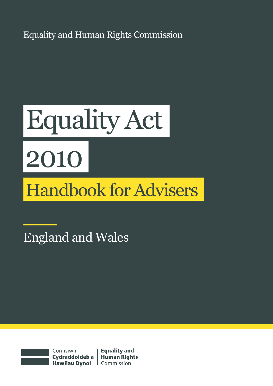Equality and Human Rights Commission

# Equality Act 2010 Handbook for Advisers

England and Wales



Comisiwn Cydraddoldeb a | Human Rights<br>Hawliau Dynol | Commission

**Equality and**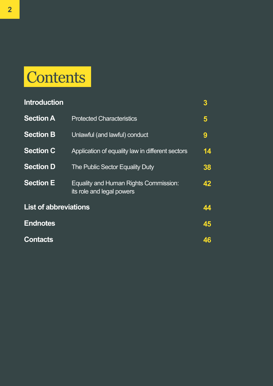# **Contents**

| <b>Introduction</b>          |                                                                    | $\boldsymbol{3}$ |
|------------------------------|--------------------------------------------------------------------|------------------|
| <b>Section A</b>             | <b>Protected Characteristics</b>                                   | 5                |
| <b>Section B</b>             | Unlawful (and lawful) conduct                                      | 9                |
| <b>Section C</b>             | Application of equality law in different sectors                   | 14               |
| <b>Section D</b>             | The Public Sector Equality Duty                                    | 38               |
| <b>Section E</b>             | Equality and Human Rights Commission:<br>its role and legal powers | 42               |
| <b>List of abbreviations</b> |                                                                    | 44               |
| <b>Endnotes</b>              |                                                                    | 45               |
| <b>Contacts</b>              |                                                                    | 46               |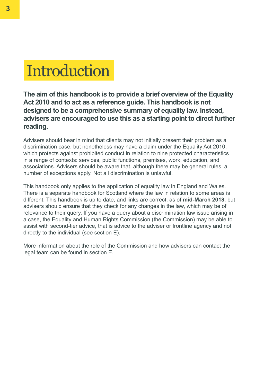

**The aim of this handbook is to provide a brief overview of the Equality Act 2010 and to act as a reference guide. This handbook is not designed to be a comprehensive summary of equality law. Instead, advisers are encouraged to use this as a starting point to direct further reading.**

Advisers should bear in mind that clients may not initially present their problem as a discrimination case, but nonetheless may have a claim under the Equality Act 2010, which protects against prohibited conduct in relation to nine protected characteristics in a range of contexts: services, public functions, premises, work, education, and associations. Advisers should be aware that, although there may be general rules, a number of exceptions apply. Not all discrimination is unlawful.

This handbook only applies to the application of equality law in England and Wales. There is a separate handbook for Scotland where the law in relation to some areas is different. This handbook is up to date, and links are correct, as of **mid-March 2018**, but advisers should ensure that they check for any changes in the law, which may be of relevance to their query. If you have a query about a discrimination law issue arising in a case, the Equality and Human Rights Commission (the Commission) may be able to assist with second-tier advice, that is advice to the adviser or frontline agency and not directly to the individual (see section E).

More information about the role of the Commission and how advisers can contact the legal team can be found in section E.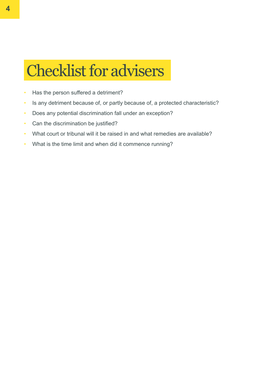# Checklist for advisers

- Has the person suffered a detriment?
- Is any detriment because of, or partly because of, a protected characteristic?
- Does any potential discrimination fall under an exception?
- Can the discrimination be justified?
- What court or tribunal will it be raised in and what remedies are available?
- What is the time limit and when did it commence running?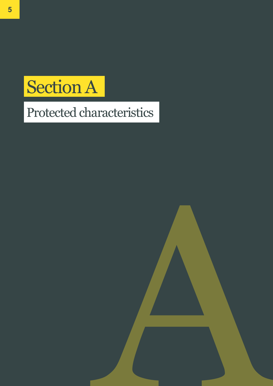# Section A

**5 5**

# Protected characteristics

A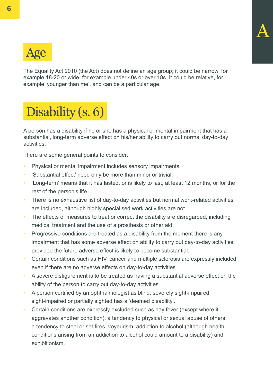

The Equality Act 2010 (the Act) does not define an age group; it could be narrow, for example 18-20 or wide, for example under 40s or over 18s. It could be relative, for example 'younger than me', and can be a particular age.

# Disability (s. 6)

A person has a disability if he or she has a physical or mental impairment that has a substantial, long-term adverse effect on his/her ability to carry out normal day-to-day activities.

There are some general points to consider:

- Physical or mental impairment includes sensory impairments.
- 'Substantial effect' need only be more than minor or trivial.
- 'Long-term' means that it has lasted, or is likely to last, at least 12 months, or for the rest of the person's life.
- There is no exhaustive list of day-to-day activities but normal work-related activities are included, although highly specialised work activities are not.
- The effects of measures to treat or correct the disability are disregarded, including medical treatment and the use of a prosthesis or other aid.
- Progressive conditions are treated as a disability from the moment there is any impairment that has some adverse effect on ability to carry out day-to-day activities, provided the future adverse effect is likely to become substantial.
- Certain conditions such as HIV, cancer and multiple sclerosis are expressly included even if there are no adverse effects on day-to-day activities.
- A severe disfigurement is to be treated as having a substantial adverse effect on the ability of the person to carry out day-to-day activities.
- A person certified by an ophthalmologist as blind, severely sight-impaired, sight-impaired or partially sighted has a 'deemed disability'.
- Certain conditions are expressly excluded such as hay fever (except where it aggravates another condition), a tendency to physical or sexual abuse of others, a tendency to steal or set fires, voyeurism, addiction to alcohol (although health conditions arising from an addiction to alcohol could amount to a disability) and exhibitionism.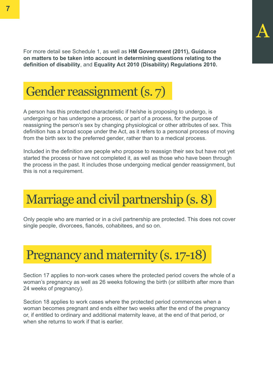For more detail see Schedule 1, as well as **HM Government (2011), [Guidance](https://www.gov.uk/government/uploads/system/uploads/attachment_data/file/570382/Equality_Act_2010-disability_definition.pdf)  [on matters to be taken into account in determining questions relating to the](https://www.gov.uk/government/uploads/system/uploads/attachment_data/file/570382/Equality_Act_2010-disability_definition.pdf)  [definition of disability](https://www.gov.uk/government/uploads/system/uploads/attachment_data/file/570382/Equality_Act_2010-disability_definition.pdf)**, and **[Equality Act 2010 \(Disability\) Regulations 2010.](http://www.legislation.gov.uk/uksi/2010/2128/made)**



A person has this protected characteristic if he/she is proposing to undergo, is undergoing or has undergone a process, or part of a process, for the purpose of reassigning the person's sex by changing physiological or other attributes of sex. This definition has a broad scope under the Act, as it refers to a personal process of moving from the birth sex to the preferred gender, rather than to a medical process.

Included in the definition are people who propose to reassign their sex but have not yet started the process or have not completed it, as well as those who have been through the process in the past. It includes those undergoing medical gender reassignment, but this is not a requirement.

# Marriage and civil partnership (s. 8)

Only people who are married or in a civil partnership are protected. This does not cover single people, divorcees, fiancés, cohabitees, and so on.



Section 17 applies to non-work cases where the protected period covers the whole of a woman's pregnancy as well as 26 weeks following the birth (or stillbirth after more than 24 weeks of pregnancy).

Section 18 applies to work cases where the protected period commences when a woman becomes pregnant and ends either two weeks after the end of the pregnancy or, if entitled to ordinary and additional maternity leave, at the end of that period, or when she returns to work if that is earlier.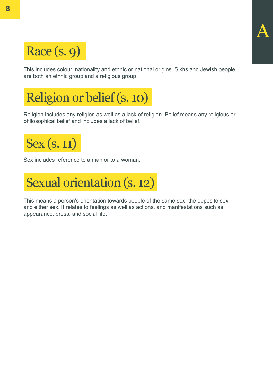

This includes colour, nationality and ethnic or national origins. Sikhs and Jewish people are both an ethnic group and a religious group.

A

# Religion or belief (s. 10)

Religion includes any religion as well as a lack of religion. Belief means any religious or philosophical belief and includes a lack of belief.



Sex includes reference to a man or to a woman.



This means a person's orientation towards people of the same sex, the opposite sex and either sex. It relates to feelings as well as actions, and manifestations such as appearance, dress, and social life.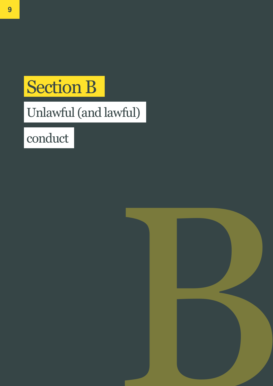# Section B

# Unlawful (and lawful)

conduct

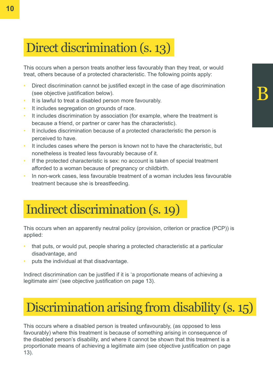# Direct discrimination (s. 13)

This occurs when a person treats another less favourably than they treat, or would treat, others because of a protected characteristic. The following points apply:

- Direct discrimination cannot be justified except in the case of age discrimination (see objective justification below).
- It is lawful to treat a disabled person more favourably.
- It includes segregation on grounds of race.
- It includes discrimination by association (for example, where the treatment is because a friend, or partner or carer has the characteristic).
- It includes discrimination because of a protected characteristic the person is perceived to have.
- It includes cases where the person is known not to have the characteristic, but nonetheless is treated less favourably because of it.
- If the protected characteristic is sex: no account is taken of special treatment afforded to a woman because of pregnancy or childbirth.
- In non-work cases, less favourable treatment of a woman includes less favourable treatment because she is breastfeeding.

# Indirect discrimination (s. 19)

This occurs when an apparently neutral policy (provision, criterion or practice (PCP)) is applied:

- that puts, or would put, people sharing a protected characteristic at a particular disadvantage, and
- puts the individual at that disadvantage.

Indirect discrimination can be justified if it is 'a proportionate means of achieving a legitimate aim' (see objective justification on page 13).

# Discrimination arising from disability (s. 15)

This occurs where a disabled person is treated unfavourably, (as opposed to less favourably) where this treatment is because of something arising in consequence of the disabled person's disability, and where it cannot be shown that this treatment is a proportionate means of achieving a legitimate aim (see objective justification on page 13).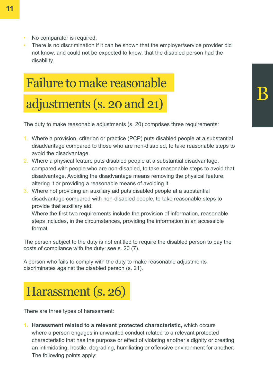- No comparator is required.
- There is no discrimination if it can be shown that the employer/service provider did not know, and could not be expected to know, that the disabled person had the disability.

# Failure to make reasonable

### adjustments (s. 20 and 21)

The duty to make reasonable adjustments (s. 20) comprises three requirements:

- 1. Where a provision, criterion or practice (PCP) puts disabled people at a substantial disadvantage compared to those who are non-disabled, to take reasonable steps to avoid the disadvantage.
- 2. Where a physical feature puts disabled people at a substantial disadvantage, compared with people who are non-disabled, to take reasonable steps to avoid that disadvantage. Avoiding the disadvantage means removing the physical feature, altering it or providing a reasonable means of avoiding it.
- 3. Where not providing an auxiliary aid puts disabled people at a substantial disadvantage compared with non-disabled people, to take reasonable steps to provide that auxiliary aid.

Where the first two requirements include the provision of information, reasonable steps includes, in the circumstances, providing the information in an accessible format.

The person subject to the duty is not entitled to require the disabled person to pay the costs of compliance with the duty: see s. 20 (7).

A person who fails to comply with the duty to make reasonable adjustments discriminates against the disabled person (s. 21).



There are three types of harassment:

**1. Harassment related to a relevant protected characteristic,** which occurs where a person engages in unwanted conduct related to a relevant protected characteristic that has the purpose or effect of violating another's dignity or creating an intimidating, hostile, degrading, humiliating or offensive environment for another. The following points apply: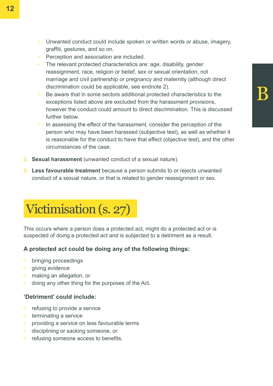- Unwanted conduct could include spoken or written words or abuse, imagery, graffiti, gestures, and so on.
- Perception and association are included.
- The relevant protected characteristics are: age, disability, gender reassignment, race, religion or belief, sex or sexual orientation, not marriage and civil partnership or pregnancy and maternity (although direct discrimination could be applicable, see endnote 2).
- Be aware that in some sectors additional protected characteristics to the exceptions listed above are excluded from the harassment provisions, however the conduct could amount to direct discrimination. This is discussed further below.
- In assessing the effect of the harassment, consider the perception of the person who may have been harassed (subjective test), as well as whether it is reasonable for the conduct to have that effect (objective test), and the other circumstances of the case.
- **2. Sexual harassment** (unwanted conduct of a sexual nature).
- **3. Less favourable treatment** because a person submits to or rejects unwanted conduct of a sexual nature, or that is related to gender reassignment or sex.

# Victimisation (s. 27)

This occurs where a person does a protected act, might do a protected act or is suspected of doing a protected act and is subjected to a detriment as a result.

#### **A protected act could be doing any of the following things:**

- bringing proceedings
- giving evidence
- making an allegation, or
- doing any other thing for the purposes of the Act.

#### **'Detriment' could include:**

- refusing to provide a service
- terminating a service
- providing a service on less favourable terms
- disciplining or sacking someone, or
- refusing someone access to benefits.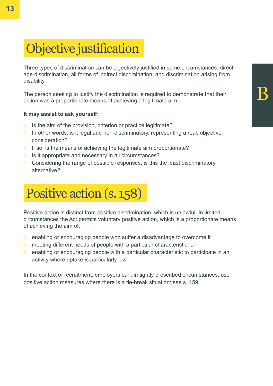# Objective justification

Three types of discrimination can be objectively justified in some circumstances: direct age discrimination, all forms of indirect discrimination, and discrimination arising from disability.

The person seeking to justify the discrimination is required to demonstrate that their action was a proportionate means of achieving a legitimate aim.

#### **It may assist to ask yourself:**

- Is the aim of the provision, criterion or practice legitimate?
- In other words, is it legal and non-discriminatory, representing a real, objective consideration?
- If so, is the means of achieving the legitimate aim proportionate?
- Is it appropriate and necessary in all circumstances?
- Considering the range of possible responses, is this the least discriminatory alternative?

# Positive action (s. 158)

Positive action is distinct from positive discrimination, which is unlawful. In limited circumstances the Act permits voluntary positive action, which is a proportionate means of achieving the aim of:

- enabling or encouraging people who suffer a disadvantage to overcome it
- meeting different needs of people with a particular characteristic, or
- enabling or encouraging people with a particular characteristic to participate in an activity where uptake is particularly low.

In the context of recruitment, employers can, in tightly prescribed circumstances, use positive action measures where there is a tie-break situation: see s. 159.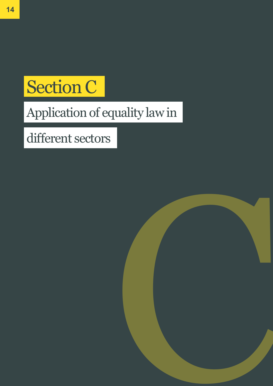# Section C

# Application of equality law in

# different sectors

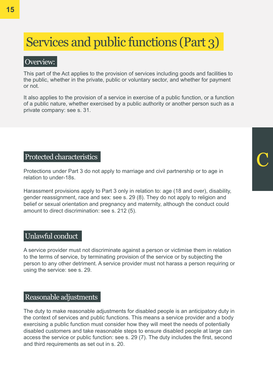# Services and public functions (Part 3)

#### Overview:

This part of the Act applies to the provision of services including goods and facilities to the public, whether in the private, public or voluntary sector, and whether for payment or not.

It also applies to the provision of a service in exercise of a public function, or a function of a public nature, whether exercised by a public authority or another person such as a private company: see s. 31.

#### Protected characteristics

Protections under Part 3 do not apply to marriage and civil partnership or to age in relation to under-18s.

C

Harassment provisions apply to Part 3 only in relation to: age (18 and over), disability, gender reassignment, race and sex: see s. 29 (8). They do not apply to religion and belief or sexual orientation and pregnancy and maternity, although the conduct could amount to direct discrimination: see s. 212 (5).

#### Unlawful conduct

A service provider must not discriminate against a person or victimise them in relation to the terms of service, by terminating provision of the service or by subjecting the person to any other detriment. A service provider must not harass a person requiring or using the service: see s. 29.

#### Reasonable adjustments

The duty to make reasonable adjustments for disabled people is an anticipatory duty in the context of services and public functions. This means a service provider and a body exercising a public function must consider how they will meet the needs of potentially disabled customers and take reasonable steps to ensure disabled people at large can access the service or public function: see s. 29 (7). The duty includes the first, second and third requirements as set out in s. 20.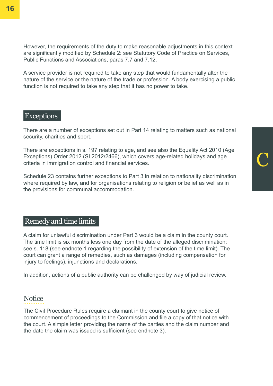However, the requirements of the duty to make reasonable adjustments in this context are significantly modified by Schedule 2: see Statutory Code of Practice on Services, Public Functions and Associations, paras 7.7 and 7.12.

A service provider is not required to take any step that would fundamentally alter the nature of the service or the nature of the trade or profession. A body exercising a public function is not required to take any step that it has no power to take.

#### Exceptions

There are a number of exceptions set out in Part 14 relating to matters such as national security, charities and sport.

There are exceptions in s. 197 relating to age, and see also the Equality Act 2010 (Age Exceptions) Order 2012 (SI 2012/2466), which covers age-related holidays and age criteria in immigration control and financial services.

C

Schedule 23 contains further exceptions to Part 3 in relation to nationality discrimination where required by law, and for organisations relating to religion or belief as well as in the provisions for communal accommodation.

#### Remedy and time limits

A claim for unlawful discrimination under Part 3 would be a claim in the county court. The time limit is six months less one day from the date of the alleged discrimination: see s. 118 (see endnote 1 regarding the possibility of extension of the time limit). The court can grant a range of remedies, such as damages (including compensation for injury to feelings), injunctions and declarations.

In addition, actions of a public authority can be challenged by way of judicial review.

#### **Notice**

The Civil Procedure Rules require a claimant in the county court to give notice of commencement of proceedings to the Commission and file a copy of that notice with the court. A simple letter providing the name of the parties and the claim number and the date the claim was issued is sufficient (see endnote 3).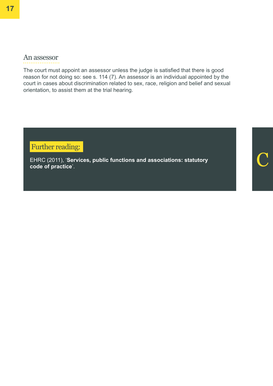#### An assessor

The court must appoint an assessor unless the judge is satisfied that there is good reason for not doing so: see s. 114 (7). An assessor is an individual appointed by the court in cases about discrimination related to sex, race, religion and belief and sexual orientation, to assist them at the trial hearing.

Further reading:

EHRC (2011), '**[Services, public functions and associations: statutory](https://www.equalityhumanrights.com/en/publication-download/services-public-functions-and-associations-statutory-code-practice)**  EHRC (2011), 'Services, public functions and associations: statutory **Communist Constructer (Communist Construct**<br>[code of practice](https://www.equalityhumanrights.com/en/publication-download/services-public-functions-and-associations-statutory-code-practice)'.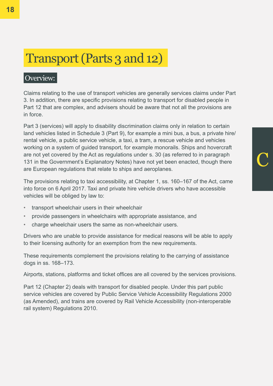### Transport (Parts 3 and 12)

#### Overview:

Claims relating to the use of transport vehicles are generally services claims under Part 3. In addition, there are specific provisions relating to transport for disabled people in Part 12 that are complex, and advisers should be aware that not all the provisions are in force.

Part 3 (services) will apply to disability discrimination claims only in relation to certain land vehicles listed in Schedule 3 (Part 9), for example a mini bus, a bus, a private hire/ rental vehicle, a public service vehicle, a taxi, a tram, a rescue vehicle and vehicles working on a system of guided transport, for example monorails. Ships and hovercraft are not yet covered by the Act as regulations under s. 30 (as referred to in paragraph 131 in the Government's Explanatory Notes) have not yet been enacted, though there are European regulations that relate to ships and aeroplanes.

C

The provisions relating to taxi accessibility, at Chapter 1, ss. 160–167 of the Act, came into force on 6 April 2017. Taxi and private hire vehicle drivers who have accessible vehicles will be obliged by law to:

- transport wheelchair users in their wheelchair
- provide passengers in wheelchairs with appropriate assistance, and
- charge wheelchair users the same as non-wheelchair users.

Drivers who are unable to provide assistance for medical reasons will be able to apply to their licensing authority for an exemption from the new requirements.

These requirements complement the provisions relating to the carrying of assistance dogs in ss. 168–173.

Airports, stations, platforms and ticket offices are all covered by the services provisions.

Part 12 (Chapter 2) deals with transport for disabled people. Under this part public service vehicles are covered by Public Service Vehicle Accessibility Regulations 2000 (as Amended), and trains are covered by Rail Vehicle Accessibility (non-interoperable rail system) Regulations 2010.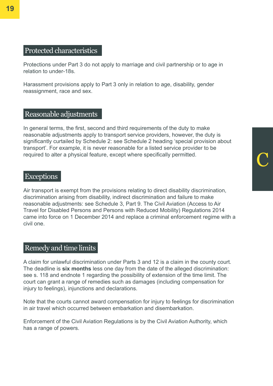#### Protected characteristics

Protections under Part 3 do not apply to marriage and civil partnership or to age in relation to under-18s.

Harassment provisions apply to Part 3 only in relation to age, disability, gender reassignment, race and sex.

#### Reasonable adjustments

In general terms, the first, second and third requirements of the duty to make reasonable adjustments apply to transport service providers, however, the duty is significantly curtailed by Schedule 2: see Schedule 2 heading 'special provision about transport'. For example, it is never reasonable for a listed service provider to be required to alter a physical feature, except where specifically permitted.

C

#### **Exceptions**

Air transport is exempt from the provisions relating to direct disability discrimination, discrimination arising from disability, indirect discrimination and failure to make reasonable adjustments: see Schedule 3, Part 9. The Civil Aviation (Access to Air Travel for Disabled Persons and Persons with Reduced Mobility) Regulations 2014 came into force on 1 December 2014 and replace a criminal enforcement regime with a civil one.

#### Remedy and time limits

A claim for unlawful discrimination under Parts 3 and 12 is a claim in the county court. The deadline is **six months** less one day from the date of the alleged discrimination: see s. 118 and endnote 1 regarding the possibility of extension of the time limit. The court can grant a range of remedies such as damages (including compensation for injury to feelings), injunctions and declarations.

Note that the courts cannot award compensation for injury to feelings for discrimination in air travel which occurred between embarkation and disembarkation.

Enforcement of the Civil Aviation Regulations is by the Civil Aviation Authority, which has a range of powers.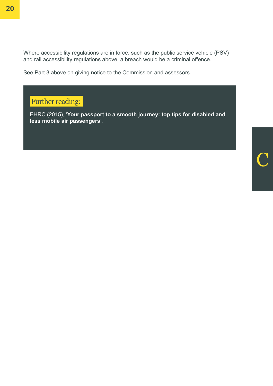Where accessibility regulations are in force, such as the public service vehicle (PSV) and rail accessibility regulations above, a breach would be a criminal offence.

See Part 3 above on giving notice to the Commission and assessors.

Further reading:

EHRC (2015), '**[Your passport to a smooth journey: top tips for disabled and](https://www.equalityhumanrights.com/en/publication-download/your-passport-smooth-journey-top-tips-disabled-and-less-mobile-air-passengers)  [less mobile air passengers](https://www.equalityhumanrights.com/en/publication-download/your-passport-smooth-journey-top-tips-disabled-and-less-mobile-air-passengers)**'.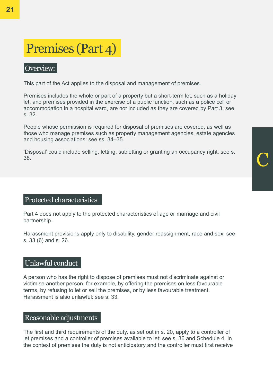# C

# Premises (Part 4)

#### Overview:

This part of the Act applies to the disposal and management of premises.

Premises includes the whole or part of a property but a short-term let, such as a holiday let, and premises provided in the exercise of a public function, such as a police cell or accommodation in a hospital ward, are not included as they are covered by Part 3: see s. 32.

People whose permission is required for disposal of premises are covered, as well as those who manage premises such as property management agencies, estate agencies and housing associations: see ss. 34–35.

'Disposal' could include selling, letting, subletting or granting an occupancy right: see s. 38.

#### Protected characteristics

Part 4 does not apply to the protected characteristics of age or marriage and civil partnership.

Harassment provisions apply only to disability, gender reassignment, race and sex: see s. 33 (6) and s. 26.

#### Unlawful conduct

A person who has the right to dispose of premises must not discriminate against or victimise another person, for example, by offering the premises on less favourable terms, by refusing to let or sell the premises, or by less favourable treatment. Harassment is also unlawful: see s. 33.

#### Reasonable adjustments

The first and third requirements of the duty, as set out in s. 20, apply to a controller of let premises and a controller of premises available to let: see s. 36 and Schedule 4. In the context of premises the duty is not anticipatory and the controller must first receive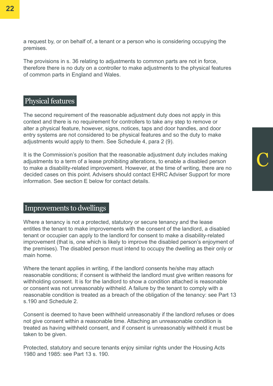a request by, or on behalf of, a tenant or a person who is considering occupying the premises.

The provisions in s. 36 relating to adjustments to common parts are not in force, therefore there is no duty on a controller to make adjustments to the physical features of common parts in England and Wales.

#### Physical features

The second requirement of the reasonable adjustment duty does not apply in this context and there is no requirement for controllers to take any step to remove or alter a physical feature, however, signs, notices, taps and door handles, and door entry systems are not considered to be physical features and so the duty to make adjustments would apply to them. See Schedule 4, para 2 (9).

It is the Commission's position that the reasonable adjustment duty includes making adjustments to a term of a lease prohibiting alterations, to enable a disabled person to make a disability-related improvement. However, at the time of writing, there are no decided cases on this point. Advisers should contact EHRC Adviser Support for more information. See section E below for contact details.

C

#### Improvements to dwellings

Where a tenancy is not a protected, statutory or secure tenancy and the lease entitles the tenant to make improvements with the consent of the landlord, a disabled tenant or occupier can apply to the landlord for consent to make a disability-related improvement (that is, one which is likely to improve the disabled person's enjoyment of the premises). The disabled person must intend to occupy the dwelling as their only or main home.

Where the tenant applies in writing, if the landlord consents he/she may attach reasonable conditions; if consent is withheld the landlord must give written reasons for withholding consent. It is for the landlord to show a condition attached is reasonable or consent was not unreasonably withheld. A failure by the tenant to comply with a reasonable condition is treated as a breach of the obligation of the tenancy: see Part 13 s.190 and Schedule 2.

Consent is deemed to have been withheld unreasonably if the landlord refuses or does not give consent within a reasonable time. Attaching an unreasonable condition is treated as having withheld consent, and if consent is unreasonably withheld it must be taken to be given.

Protected, statutory and secure tenants enjoy similar rights under the Housing Acts 1980 and 1985: see Part 13 s. 190.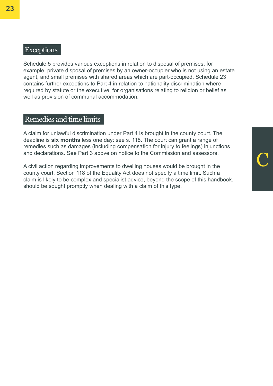#### Exceptions

Schedule 5 provides various exceptions in relation to disposal of premises, for example, private disposal of premises by an owner-occupier who is not using an estate agent, and small premises with shared areas which are part-occupied. Schedule 23 contains further exceptions to Part 4 in relation to nationality discrimination where required by statute or the executive, for organisations relating to religion or belief as well as provision of communal accommodation.

#### Remedies and time limits

A claim for unlawful discrimination under Part 4 is brought in the county court. The deadline is **six months** less one day: see s. 118. The court can grant a range of remedies such as damages (including compensation for injury to feelings) injunctions and declarations. See Part 3 above on notice to the Commission and assessors.

A civil action regarding improvements to dwelling houses would be brought in the county court. Section 118 of the Equality Act does not specify a time limit. Such a claim is likely to be complex and specialist advice, beyond the scope of this handbook, should be sought promptly when dealing with a claim of this type.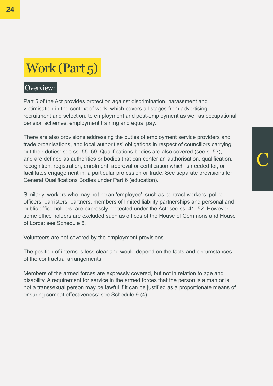## Work (Part 5)

#### Overview:

Part 5 of the Act provides protection against discrimination, harassment and victimisation in the context of work, which covers all stages from advertising, recruitment and selection, to employment and post-employment as well as occupational pension schemes, employment training and equal pay.

There are also provisions addressing the duties of employment service providers and trade organisations, and local authorities' obligations in respect of councillors carrying out their duties: see ss. 55–59. Qualifications bodies are also covered (see s. 53), and are defined as authorities or bodies that can confer an authorisation, qualification, recognition, registration, enrolment, approval or certification which is needed for, or facilitates engagement in, a particular profession or trade. See separate provisions for General Qualifications Bodies under Part 6 (education).

Similarly, workers who may not be an 'employee', such as contract workers, police officers, barristers, partners, members of limited liability partnerships and personal and public office holders, are expressly protected under the Act: see ss. 41–52. However, some office holders are excluded such as offices of the House of Commons and House of Lords: see Schedule 6.

Volunteers are not covered by the employment provisions.

The position of interns is less clear and would depend on the facts and circumstances of the contractual arrangements.

Members of the armed forces are expressly covered, but not in relation to age and disability. A requirement for service in the armed forces that the person is a man or is not a transsexual person may be lawful if it can be justified as a proportionate means of ensuring combat effectiveness: see Schedule 9 (4).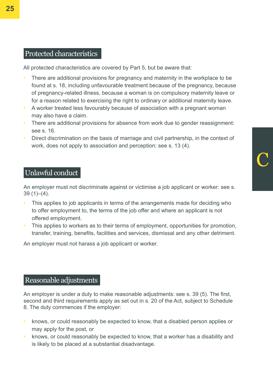#### Protected characteristics

All protected characteristics are covered by Part 5, but be aware that:

- There are additional provisions for pregnancy and maternity in the workplace to be found at s. 18, including unfavourable treatment because of the pregnancy, because of pregnancy-related illness, because a woman is on compulsory maternity leave or for a reason related to exercising the right to ordinary or additional maternity leave.
- A worker treated less favourably because of association with a pregnant woman may also have a claim.
- There are additional provisions for absence from work due to gender reassignment: see s. 16.
- Direct discrimination on the basis of marriage and civil partnership, in the context of work, does not apply to association and perception: see s. 13 (4).

C

#### Unlawful conduct

An employer must not discriminate against or victimise a job applicant or worker: see s. 39 (1)–(4).

- This applies to job applicants in terms of the arrangements made for deciding who to offer employment to, the terms of the job offer and where an applicant is not offered employment.
- This applies to workers as to their terms of employment, opportunities for promotion, transfer, training, benefits, facilities and services, dismissal and any other detriment.

An employer must not harass a job applicant or worker.

#### Reasonable adjustments

An employer is under a duty to make reasonable adjustments: see s. 39 (5). The first, second and third requirements apply as set out in s. 20 of the Act, subject to Schedule 8. The duty commences if the employer:

- knows, or could reasonably be expected to know, that a disabled person applies or may apply for the post, or
- knows, or could reasonably be expected to know, that a worker has a disability and is likely to be placed at a substantial disadvantage.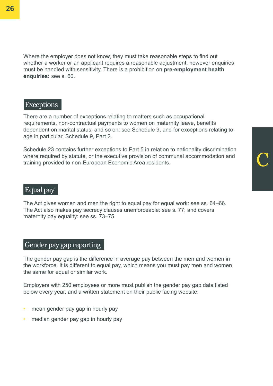Where the employer does not know, they must take reasonable steps to find out whether a worker or an applicant requires a reasonable adjustment, however enquiries must be handled with sensitivity. There is a prohibition on **pre-employment health enquiries:** see s. 60.

#### **Exceptions**

There are a number of exceptions relating to matters such as occupational requirements, non-contractual payments to women on maternity leave, benefits dependent on marital status, and so on: see Schedule 9, and for exceptions relating to age in particular, Schedule 9, Part 2.

Schedule 23 contains further exceptions to Part 5 in relation to nationality discrimination where required by statute, or the executive provision of communal accommodation and training provided to non-European Economic Area residents.

C

#### Equal pay

The Act gives women and men the right to equal pay for equal work: see ss. 64–66. The Act also makes pay secrecy clauses unenforceable: see s. 77; and covers maternity pay equality: see ss. 73–75.

#### Gender pay gap reporting

The gender pay gap is the difference in average pay between the men and women in the workforce. It is different to equal pay, which means you must pay men and women the same for equal or similar work.

Employers with 250 employees or more must publish the gender pay gap data listed below every year, and a written statement on their public facing website:

- mean gender pay gap in hourly pay
- median gender pay gap in hourly pay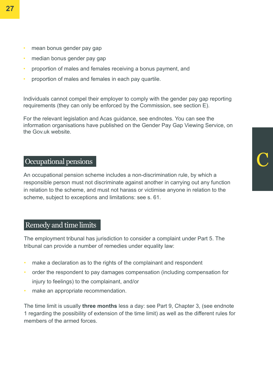- mean bonus gender pay gap
- median bonus gender pay gap
- proportion of males and females receiving a bonus payment, and
- proportion of males and females in each pay quartile.

Individuals cannot compel their employer to comply with the gender pay gap reporting requirements (they can only be enforced by the Commission, see section E).

For the relevant legislation and Acas guidance, see endnotes. You can see the information organisations have published on the Gender Pay Gap Viewing Service, on the Gov.uk website.

#### Occupational pensions

An occupational pension scheme includes a non-discrimination rule, by which a responsible person must not discriminate against another in carrying out any function in relation to the scheme, and must not harass or victimise anyone in relation to the scheme, subject to exceptions and limitations: see s. 61.

#### Remedy and time limits

The employment tribunal has jurisdiction to consider a complaint under Part 5. The tribunal can provide a number of remedies under equality law:

- make a declaration as to the rights of the complainant and respondent
- order the respondent to pay damages compensation (including compensation for injury to feelings) to the complainant, and/or
- make an appropriate recommendation.

The time limit is usually **three months** less a day: see Part 9, Chapter 3, (see endnote 1 regarding the possibility of extension of the time limit) as well as the different rules for members of the armed forces.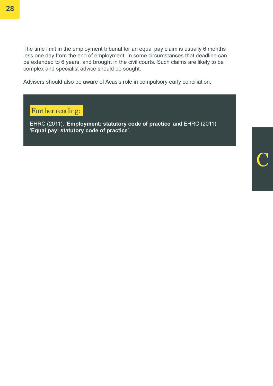The time limit in the employment tribunal for an equal pay claim is usually 6 months less one day from the end of employment. In some circumstances that deadline can be extended to 6 years, and brought in the civil courts. Such claims are likely to be complex and specialist advice should be sought.

Advisers should also be aware of Acas's role in compulsory early conciliation.

#### Further reading:

EHRC (2011), '**[Employment: statutory code of practice](https://www.equalityhumanrights.com/en/publication-download/employment-statutory-code-practice)**' and EHRC (2011), '**[Equal pay: statutory code of practice](https://www.equalityhumanrights.com/en/publication-download/equal-pay-statutory-code-practice)**'.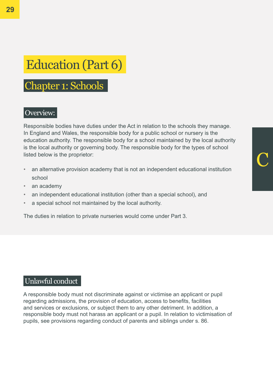# Education (Part 6)

### Chapter 1: Schools

#### Overview:

Responsible bodies have duties under the Act in relation to the schools they manage. In England and Wales, the responsible body for a public school or nursery is the education authority. The responsible body for a school maintained by the local authority is the local authority or governing body. The responsible body for the types of school listed below is the proprietor:

C

- an alternative provision academy that is not an independent educational institution school
- an academy
- an independent educational institution (other than a special school), and
- a special school not maintained by the local authority.

The duties in relation to private nurseries would come under Part 3.

#### Unlawful conduct

A responsible body must not discriminate against or victimise an applicant or pupil regarding admissions, the provision of education, access to benefits, facilities and services or exclusions, or subject them to any other detriment. In addition, a responsible body must not harass an applicant or a pupil. In relation to victimisation of pupils, see provisions regarding conduct of parents and siblings under s. 86.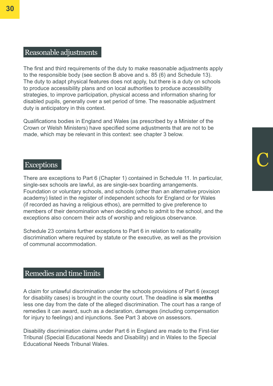#### Reasonable adjustments

The first and third requirements of the duty to make reasonable adjustments apply to the responsible body (see section B above and s. 85 (6) and Schedule 13). The duty to adapt physical features does not apply, but there is a duty on schools to produce accessibility plans and on local authorities to produce accessibility strategies, to improve participation, physical access and information sharing for disabled pupils, generally over a set period of time. The reasonable adjustment duty is anticipatory in this context.

Qualifications bodies in England and Wales (as prescribed by a Minister of the Crown or Welsh Ministers) have specified some adjustments that are not to be made, which may be relevant in this context: see chapter 3 below.

# Exceptions C

There are exceptions to Part 6 (Chapter 1) contained in Schedule 11. In particular, single-sex schools are lawful, as are single-sex boarding arrangements. Foundation or voluntary schools, and schools (other than an alternative provision academy) listed in the register of independent schools for England or for Wales (if recorded as having a religious ethos), are permitted to give preference to members of their denomination when deciding who to admit to the school, and the exceptions also concern their acts of worship and religious observance.

Schedule 23 contains further exceptions to Part 6 in relation to nationality discrimination where required by statute or the executive, as well as the provision of communal accommodation.

#### Remedies and time limits

A claim for unlawful discrimination under the schools provisions of Part 6 (except for disability cases) is brought in the county court. The deadline is **six months**  less one day from the date of the alleged discrimination. The court has a range of remedies it can award, such as a declaration, damages (including compensation for injury to feelings) and injunctions. See Part 3 above on assessors.

Disability discrimination claims under Part 6 in England are made to the First-tier Tribunal (Special Educational Needs and Disability) and in Wales to the Special Educational Needs Tribunal Wales.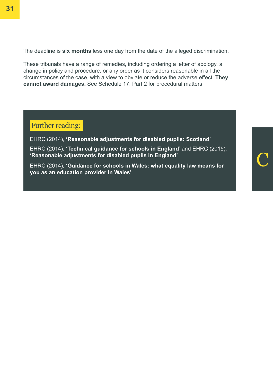The deadline is **six months** less one day from the date of the alleged discrimination.

These tribunals have a range of remedies, including ordering a letter of apology, a change in policy and procedure, or any order as it considers reasonable in all the circumstances of the case, with a view to obviate or reduce the adverse effect. **They cannot award damages.** See Schedule 17, Part 2 for procedural matters.

#### Further reading:

EHRC (2014), **['Reasonable adjustments for disabled pupils: Scotland'](https://www.equalityhumanrights.com/en/publication-download/reasonable-adjustments-disabled-pupils-scotland)**

EHRC (2014), **['Technical guidance for schools in England](https://www.equalityhumanrights.com/en/publication-download/technical-guidance-schools-england)'** and EHRC (2015), **['Reasonable adjustments for disabled pupils in England'](https://www.equalityhumanrights.com/en/publication-download/reasonable-adjustments-disabled-pupils)**

EHRC (2014), **['Guidance for schools in Wales: what equality law means for](https://www.equalityhumanrights.com/en/publication-download/what-equality-law-means-you-education-provider-wales)  [you as an education provider in Wales'](https://www.equalityhumanrights.com/en/publication-download/what-equality-law-means-you-education-provider-wales)**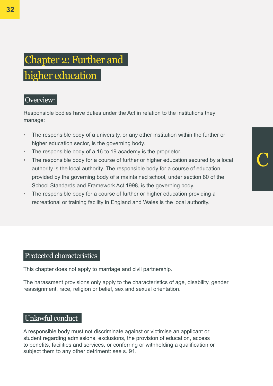# C

### Chapter 2: Further and higher education

#### Overview:

Responsible bodies have duties under the Act in relation to the institutions they manage:

- The responsible body of a university, or any other institution within the further or higher education sector, is the governing body.
- The responsible body of a 16 to 19 academy is the proprietor.
- The responsible body for a course of further or higher education secured by a local authority is the local authority. The responsible body for a course of education provided by the governing body of a maintained school, under section 80 of the School Standards and Framework Act 1998, is the governing body.
- The responsible body for a course of further or higher education providing a recreational or training facility in England and Wales is the local authority.

#### Protected characteristics

This chapter does not apply to marriage and civil partnership.

The harassment provisions only apply to the characteristics of age, disability, gender reassignment, race, religion or belief, sex and sexual orientation.

#### Unlawful conduct

A responsible body must not discriminate against or victimise an applicant or student regarding admissions, exclusions, the provision of education, access to benefits, facilities and services, or conferring or withholding a qualification or subject them to any other detriment: see s. 91.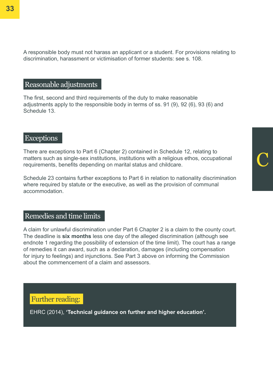A responsible body must not harass an applicant or a student. For provisions relating to discrimination, harassment or victimisation of former students: see s. 108.

#### Reasonable adjustments

The first, second and third requirements of the duty to make reasonable adjustments apply to the responsible body in terms of ss. 91 (9), 92 (6), 93 (6) and Schedule 13.

#### **Exceptions**

There are exceptions to Part 6 (Chapter 2) contained in Schedule 12, relating to matters such as single-sex institutions, institutions with a religious ethos, occupational requirements, benefits depending on marital status and childcare.

C

Schedule 23 contains further exceptions to Part 6 in relation to nationality discrimination where required by statute or the executive, as well as the provision of communal accommodation.

#### Remedies and time limits

A claim for unlawful discrimination under Part 6 Chapter 2 is a claim to the county court. The deadline is **six months** less one day of the alleged discrimination (although see endnote 1 regarding the possibility of extension of the time limit). The court has a range of remedies it can award, such as a declaration, damages (including compensation for injury to feelings) and injunctions. See Part 3 above on informing the Commission about the commencement of a claim and assessors.

Further reading:

EHRC (2014), **['Technical guidance on further and higher education](https://www.equalityhumanrights.com/en/publication-download/equality-act-2010-technical-guidance-further-and-higher-education)'.**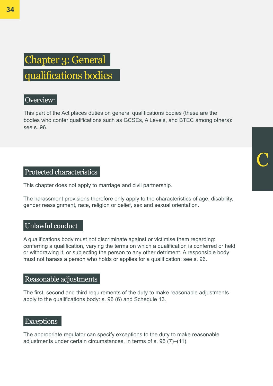# C

### Chapter 3: General qualifications bodies

#### Overview:

This part of the Act places duties on general qualifications bodies (these are the bodies who confer qualifications such as GCSEs, A Levels, and BTEC among others): see s. 96.

#### Protected characteristics

This chapter does not apply to marriage and civil partnership.

The harassment provisions therefore only apply to the characteristics of age, disability, gender reassignment, race, religion or belief, sex and sexual orientation.

#### Unlawful conduct

A qualifications body must not discriminate against or victimise them regarding: conferring a qualification, varying the terms on which a qualification is conferred or held or withdrawing it, or subjecting the person to any other detriment. A responsible body must not harass a person who holds or applies for a qualification: see s. 96.

#### Reasonable adjustments

The first, second and third requirements of the duty to make reasonable adjustments apply to the qualifications body: s. 96 (6) and Schedule 13.

#### **Exceptions**

The appropriate regulator can specify exceptions to the duty to make reasonable adjustments under certain circumstances, in terms of s. 96 (7)–(11).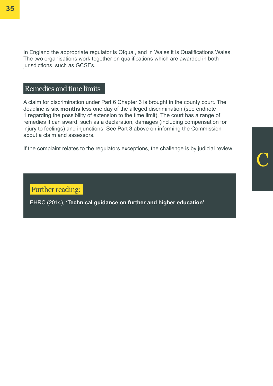In England the appropriate regulator is Ofqual, and in Wales it is Qualifications Wales. The two organisations work together on qualifications which are awarded in both jurisdictions, such as GCSEs.

#### Remedies and time limits

A claim for discrimination under Part 6 Chapter 3 is brought in the county court. The deadline is **six months** less one day of the alleged discrimination (see endnote 1 regarding the possibility of extension to the time limit). The court has a range of remedies it can award, such as a declaration, damages (including compensation for injury to feelings) and injunctions. See Part 3 above on informing the Commission about a claim and assessors.

If the complaint relates to the regulators exceptions, the challenge is by judicial review.

Further reading:

EHRC (2014), **['Technical guidance on further and higher education'](https://www.equalityhumanrights.com/en/publication-download/equality-act-2010-technical-guidance-further-and-higher-education)**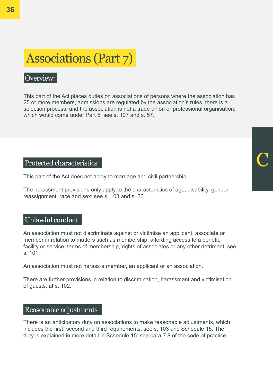# Associations (Part 7)

#### Overview:

This part of the Act places duties on associations of persons where the association has 25 or more members, admissions are regulated by the association's rules, there is a selection process, and the association is not a trade union or professional organisation, which would come under Part 5: see s. 107 and s. 57.

#### Protected characteristics

This part of the Act does not apply to marriage and civil partnership.

The harassment provisions only apply to the characteristics of age, disability, gender reassignment, race and sex: see s. 103 and s. 26.

#### Unlawful conduct

An association must not discriminate against or victimise an applicant, associate or member in relation to matters such as membership, affording access to a benefit, facility or service, terms of membership, rights of associates or any other detriment: see s. 101.

An association must not harass a member, an applicant or an association.

There are further provisions in relation to discrimination, harassment and victimisation of guests, at s. 102.

#### Reasonable adjustments

There is an anticipatory duty on associations to make reasonable adjustments, which includes the first, second and third requirements: see s. 103 and Schedule 15. The duty is explained in more detail in Schedule 15: see para 7.8 of the code of practice.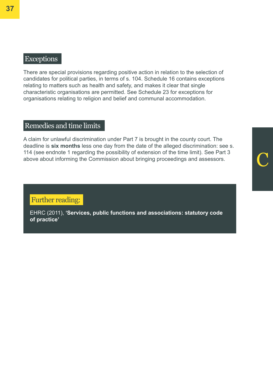#### **Exceptions**

There are special provisions regarding positive action in relation to the selection of candidates for political parties, in terms of s. 104. Schedule 16 contains exceptions relating to matters such as health and safety, and makes it clear that single characteristic organisations are permitted. See Schedule 23 for exceptions for organisations relating to religion and belief and communal accommodation.

#### Remedies and time limits

A claim for unlawful discrimination under Part 7 is brought in the county court. The deadline is **six months** less one day from the date of the alleged discrimination: see s. 114 (see endnote 1 regarding the possibility of extension of the time limit). See Part 3 above about informing the Commission about bringing proceedings and assessors.

#### Further reading:

EHRC (2011), **['Services, public functions and associations: statutory code](https://www.equalityhumanrights.com/en/publication-download/services-public-functions-and-associations-statutory-code-practice)  [of practice'](https://www.equalityhumanrights.com/en/publication-download/services-public-functions-and-associations-statutory-code-practice)**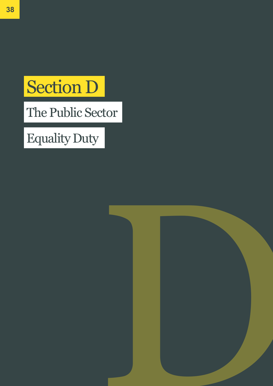# Section D

The Public Sector

# Equality Duty

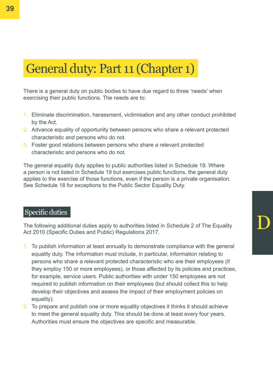### General duty: Part 11 (Chapter 1)

There is a general duty on public bodies to have due regard to three 'needs' when exercising their public functions. The needs are to:

- 1. Eliminate discrimination, harassment, victimisation and any other conduct prohibited by the Act.
- 2. Advance equality of opportunity between persons who share a relevant protected characteristic and persons who do not.
- 3. Foster good relations between persons who share a relevant protected characteristic and persons who do not.

The general equality duty applies to public authorities listed in Schedule 19. Where a person is not listed in Schedule 19 but exercises public functions, the general duty applies to the exercise of those functions, even if the person is a private organisation. See Schedule 18 for exceptions to the Public Sector Equality Duty.

#### Specific duties

The following additional duties apply to authorities listed in Schedule 2 of The Equality Act 2010 (Specific Duties and Public) Regulations 2017.

D

- 1. To publish information at least annually to demonstrate compliance with the general equality duty. The information must include, in particular, information relating to persons who share a relevant protected characteristic who are their employees (if they employ 150 or more employees), or those affected by its policies and practices, for example, service users. Public authorities with under 150 employees are not required to publish information on their employees (but should collect this to help develop their objectives and assess the impact of their employment policies on equality).
- 2. To prepare and publish one or more equality objectives it thinks it should achieve to meet the general equality duty. This should be done at least every four years. Authorities must ensure the objectives are specific and measurable.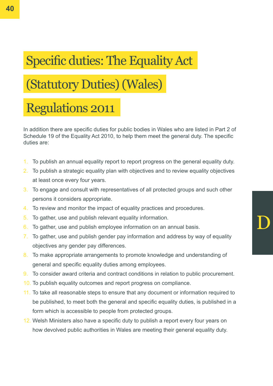# Specific duties: The Equality Act

# (Statutory Duties) (Wales)

## Regulations 2011

In addition there are specific duties for public bodies in Wales who are listed in Part 2 of Schedule 19 of the Equality Act 2010, to help them meet the general duty. The specific duties are:

- 1. To publish an annual equality report to report progress on the general equality duty.
- 2. To publish a strategic equality plan with objectives and to review equality objectives at least once every four years.
- 3. To engage and consult with representatives of all protected groups and such other persons it considers appropriate.
- 4. To review and monitor the impact of equality practices and procedures.
- 5. To gather, use and publish relevant equality information.
- 6. To gather, use and publish employee information on an annual basis.
- 7. To gather, use and publish gender pay information and address by way of equality objectives any gender pay differences.

D

- 8. To make appropriate arrangements to promote knowledge and understanding of general and specific equality duties among employees.
- 9. To consider award criteria and contract conditions in relation to public procurement.
- 10. To publish equality outcomes and report progress on compliance.
- 11. To take all reasonable steps to ensure that any document or information required to be published, to meet both the general and specific equality duties, is published in a form which is accessible to people from protected groups.
- 12. Welsh Ministers also have a specific duty to publish a report every four years on how devolved public authorities in Wales are meeting their general equality duty.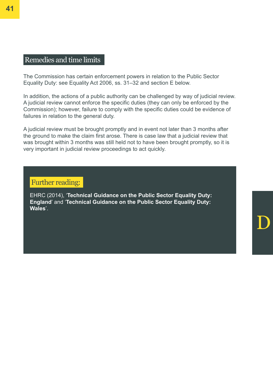#### Remedies and time limits

The Commission has certain enforcement powers in relation to the Public Sector Equality Duty: see Equality Act 2006, ss. 31–32 and section E below.

In addition, the actions of a public authority can be challenged by way of judicial review. A judicial review cannot enforce the specific duties (they can only be enforced by the Commission); however, failure to comply with the specific duties could be evidence of failures in relation to the general duty.

A judicial review must be brought promptly and in event not later than 3 months after the ground to make the claim first arose. There is case law that a judicial review that was brought within 3 months was still held not to have been brought promptly, so it is very important in judicial review proceedings to act quickly.

#### Further reading:

EHRC (2014), '**[Technical Guidance on the Public Sector Equality Duty:](https://www.equalityhumanrights.com/en/publication-download/technical-guidance-public-sector-equality-duty-england)  [England](https://www.equalityhumanrights.com/en/publication-download/technical-guidance-public-sector-equality-duty-england)**' and '**[Technical Guidance on the Public Sector Equality Duty:](https://www.equalityhumanrights.com/en/publication-download/technical-guidance-public-sector-equality-duty-wales)  [Wales](https://www.equalityhumanrights.com/en/publication-download/technical-guidance-public-sector-equality-duty-wales)**'.

D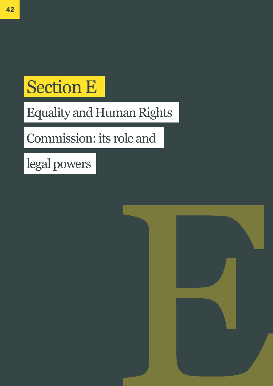# Section E

# Equality and Human Rights

# Commission: its role and

legal powers

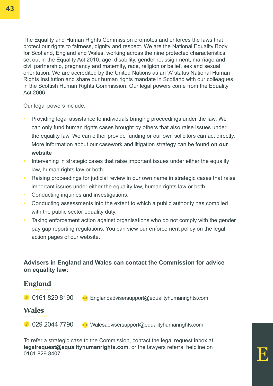The Equality and Human Rights Commission promotes and enforces the laws that protect our rights to fairness, dignity and respect. We are the National Equality Body for Scotland, England and Wales, working across the nine protected characteristics set out in the Equality Act 2010: age, disability, gender reassignment, marriage and civil partnership, pregnancy and maternity, race, religion or belief, sex and sexual orientation. We are accredited by the United Nations as an 'A' status National Human Rights Institution and share our human rights mandate in Scotland with our colleagues in the Scottish Human Rights Commission. Our legal powers come from the Equality Act 2006.

Our legal powers include:

- Providing legal assistance to individuals bringing proceedings under the law. We can only fund human rights cases brought by others that also raise issues under the equality law. We can either provide funding or our own solicitors can act directly. More information about our casework and litigation strategy can be found **[on our](https://www.equalityhumanrights.com/en/gwaith-achos-cyfreithiol/legal-cases/contacting-us-about-legal-issue)  [website](https://www.equalityhumanrights.com/en/gwaith-achos-cyfreithiol/legal-cases/contacting-us-about-legal-issue)**
- Intervening in strategic cases that raise important issues under either the equality law, human rights law or both.
- Raising proceedings for judicial review in our own name in strategic cases that raise important issues under either the equality law, human rights law or both.
- Conducting inquiries and investigations.
- Conducting assessments into the extent to which a public authority has complied with the public sector equality duty.
- Taking enforcement action against organisations who do not comply with the gender pay gap reporting regulations. You can view our enforcement policy on the legal action pages of our website.

#### **Advisers in England and Wales can contact the Commission for advice on equality law:**



To refer a strategic case to the Commission, contact the legal request inbox at **legalrequest@equalityhumanrights.com**, or the lawyers referral helpline on 0161 829 8407.

E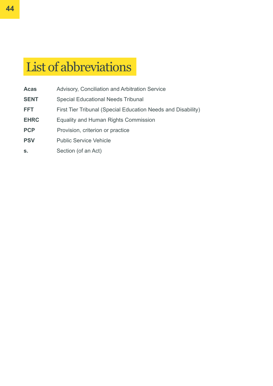## List of abbreviations

- **Acas** Advisory, Conciliation and Arbitration Service
- **SENT** Special Educational Needs Tribunal
- **FFT** First Tier Tribunal (Special Education Needs and Disability)
- **EHRC** Equality and Human Rights Commission
- **PCP** Provision, criterion or practice
- **PSV** Public Service Vehicle
- **s.** Section (of an Act)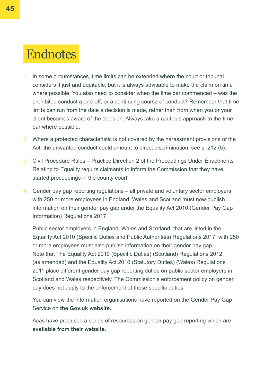### **Endnotes**

- 1. In some circumstances, time limits can be extended where the court or tribunal considers it just and equitable, but it is always advisable to make the claim on time where possible. You also need to consider when the time bar commenced – was the prohibited conduct a one-off, or a continuing course of conduct? Remember that time limits can run from the date a decision is made, rather than from when you or your client becomes aware of the decision. Always take a cautious approach to the time bar where possible.
- 2. Where a protected characteristic is not covered by the harassment provisions of the Act, the unwanted conduct could amount to direct discrimination: see s. 212 (5).
- 3. Civil Procedure Rules Practice Direction 2 of the Proceedings Under Enactments Relating to Equality require claimants to inform the Commission that they have started proceedings in the county court.
- 4. Gender pay gap reporting regulations all private and voluntary sector employers with 250 or more employees in England, Wales and Scotland must now publish information on their gender pay gap under the Equality Act 2010 (Gender Pay Gap Information) Regulations 2017.

5. Public sector employers in England, Wales and Scotland, that are listed in the Equality Act 2010 (Specific Duties and Public Authorities) Regulations 2017, with 250 or more employees must also publish information on their gender pay gap. 6. Note that The Equality Act 2010 (Specific Duties) (Scotland) Regulations 2012 (as amended) and the Equality Act 2010 (Statutory Duties) (Wales) Regulations 2011 place different gender pay gap reporting duties on public sector employers in Scotland and Wales respectively. The Commission's enforcement policy on gender pay does not apply to the enforcement of these specific duties.

You can view the information organisations have reported on the Gender Pay Gap Service on **the Gov.uk website.** 

Acas have produced a series of resources on gender pay gap reporting which are **[available from their website.](http://www.acas.org.uk/index.aspx?articleid=5768)**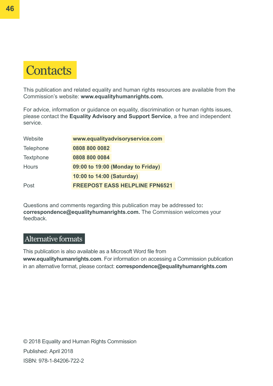

This publication and related equality and human rights resources are available from the Commission's website: **www.equalityhumanrights.com.** 

For advice, information or guidance on equality, discrimination or human rights issues, please contact the **Equality Advisory and Support Service**, a free and independent service.

| Website          | www.equalityadvisoryservice.com       |
|------------------|---------------------------------------|
| <b>Telephone</b> | 0808 800 0082                         |
| <b>Textphone</b> | 0808 800 0084                         |
| <b>Hours</b>     | 09:00 to 19:00 (Monday to Friday)     |
|                  | 10:00 to 14:00 (Saturday)             |
| Post             | <b>FREEPOST EASS HELPLINE FPN6521</b> |

Questions and comments regarding this publication may be addressed to**: correspondence@equalityhumanrights.com.** The Commission welcomes your feedback.

#### Alternative formats

This publication is also available as a Microsoft Word file from **www.equalityhumanrights.com**. For information on accessing a Commission publication in an alternative format, please contact: **correspondence@equalityhumanrights.com**

© 2018 Equality and Human Rights Commission Published: April 2018 ISBN: 978-1-84206-722-2